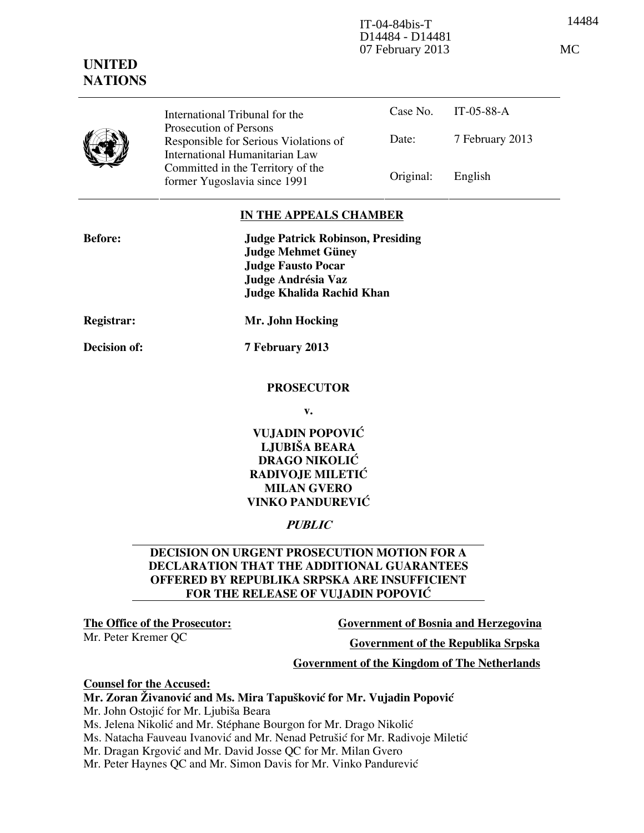14484 IT-04-84bis-T D14484 - D14481 07 February 2013 MC

# UNITED **NATIONS**

Case No. IT-05-88-A Date: 7 February 2013 International Tribunal for the Prosecution of Persons Responsible for Serious Violations of International Humanitarian Law Committed in the Territory of the former Yugoslavia since 1991 Original: English

## IN THE APPEALS CHAMBER

| <b>Before:</b> | <b>Judge Patrick Robinson, Presiding</b><br><b>Judge Mehmet Güney</b>               |
|----------------|-------------------------------------------------------------------------------------|
|                | <b>Judge Fausto Pocar</b><br>Judge Andrésia Vaz<br><b>Judge Khalida Rachid Khan</b> |
| Registrar:     | Mr. John Hocking                                                                    |
| Decision of:   | 7 February 2013                                                                     |

#### PROSECUTOR

v.

## VUJADIN POPOVIĆ LJUBIŠA BEARA DRAGO NIKOLIĆ RADIVOJE MILETIĆ MILAN GVERO VINKO PANDUREVIĆ

# **PUBLIC**

#### DECISION ON URGENT PROSECUTION MOTION FOR A DECLARATION THAT THE ADDITIONAL GUARANTEES OFFERED BY REPUBLIKA SRPSKA ARE INSUFFICIENT FOR THE RELEASE OF VUJADIN POPOVIĆ

The Office of the Prosecutor: Government of Bosnia and Herzegovina

Mr. Peter Kremer QC Government of the Republika Srpska

#### Government of the Kingdom of The Netherlands

#### Counsel for the Accused:

# Mr. Zoran Živanović and Ms. Mira Tapušković for Mr. Vujadin Popović

Mr. John Ostojić for Mr. Ljubiša Beara

Ms. Jelena Nikolić and Mr. Stéphane Bourgon for Mr. Drago Nikolić

Ms. Natacha Fauveau Ivanović and Mr. Nenad Petrušić for Mr. Radivoje Miletić

Mr. Dragan Krgović and Mr. David Josse QC for Mr. Milan Gvero

Mr. Peter Haynes QC and Mr. Simon Davis for Mr. Vinko Pandurević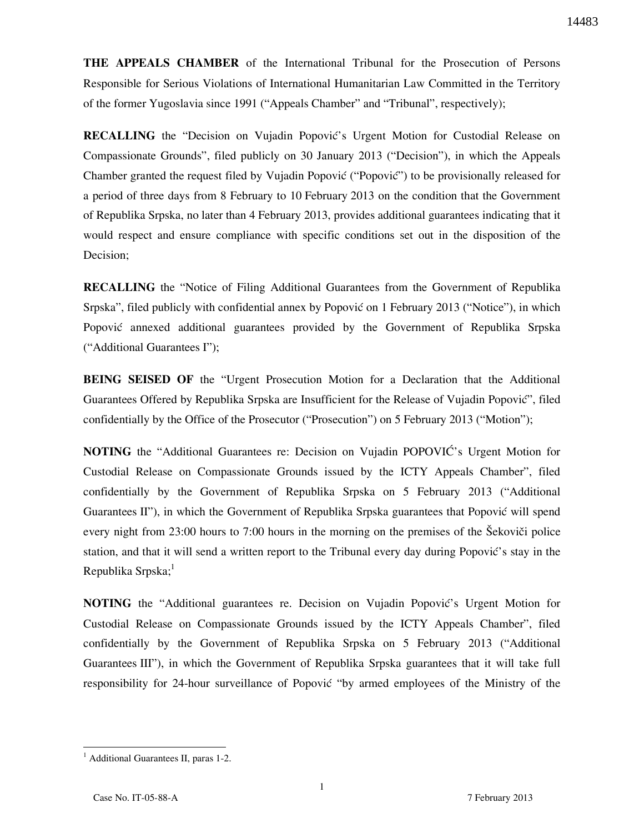THE APPEALS CHAMBER of the International Tribunal for the Prosecution of Persons Responsible for Serious Violations of International Humanitarian Law Committed in the Territory of the former Yugoslavia since 1991 ("Appeals Chamber" and "Tribunal", respectively);

RECALLING the "Decision on Vujadin Popović's Urgent Motion for Custodial Release on Compassionate Grounds", filed publicly on 30 January 2013 ("Decision"), in which the Appeals Chamber granted the request filed by Vujadin Popović ("Popović") to be provisionally released for a period of three days from 8 February to 10 February 2013 on the condition that the Government of Republika Srpska, no later than 4 February 2013, provides additional guarantees indicating that it would respect and ensure compliance with specific conditions set out in the disposition of the Decision;

**RECALLING** the "Notice of Filing Additional Guarantees from the Government of Republika Srpska", filed publicly with confidential annex by Popović on 1 February 2013 ("Notice"), in which Popović annexed additional guarantees provided by the Government of Republika Srpska ("Additional Guarantees I");

**BEING SEISED OF** the "Urgent Prosecution Motion for a Declaration that the Additional Guarantees Offered by Republika Srpska are Insufficient for the Release of Vujadin Popović", filed confidentially by the Office of the Prosecutor ("Prosecution") on 5 February 2013 ("Motion");

NOTING the "Additional Guarantees re: Decision on Vujadin POPOVIĆ's Urgent Motion for Custodial Release on Compassionate Grounds issued by the ICTY Appeals Chamber", filed confidentially by the Government of Republika Srpska on 5 February 2013 ("Additional Guarantees II"), in which the Government of Republika Srpska guarantees that Popović will spend every night from 23:00 hours to 7:00 hours in the morning on the premises of the Šekoviči police station, and that it will send a written report to the Tribunal every day during Popović's stay in the Republika Srpska; $<sup>1</sup>$ </sup>

NOTING the "Additional guarantees re. Decision on Vujadin Popović's Urgent Motion for Custodial Release on Compassionate Grounds issued by the ICTY Appeals Chamber", filed confidentially by the Government of Republika Srpska on 5 February 2013 ("Additional Guarantees III"), in which the Government of Republika Srpska guarantees that it will take full responsibility for 24-hour surveillance of Popović "by armed employees of the Ministry of the

<sup>&</sup>lt;sup>1</sup> Additional Guarantees II, paras 1-2.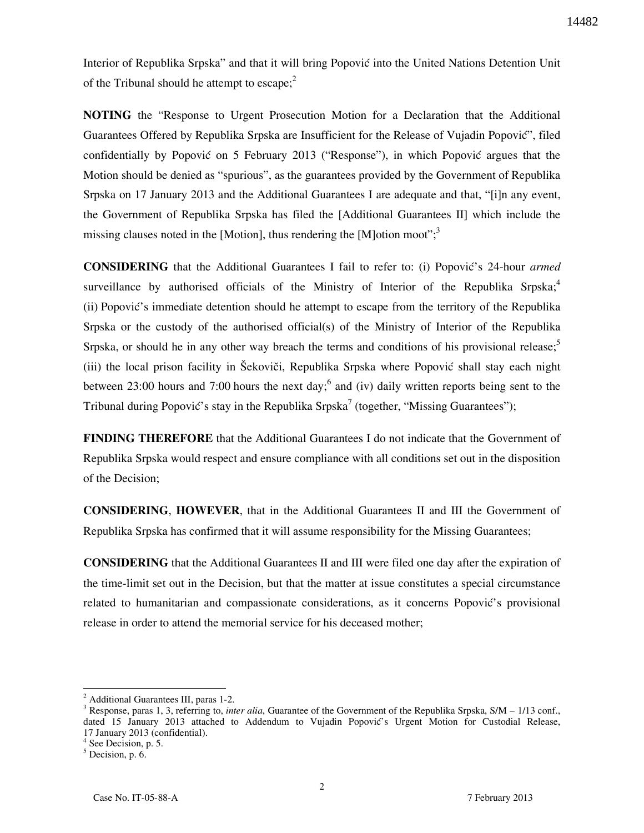Interior of Republika Srpska" and that it will bring Popović into the United Nations Detention Unit of the Tribunal should he attempt to escape; $<sup>2</sup>$ </sup>

NOTING the "Response to Urgent Prosecution Motion for a Declaration that the Additional Guarantees Offered by Republika Srpska are Insufficient for the Release of Vujadin Popović", filed confidentially by Popović on 5 February 2013 ("Response"), in which Popović argues that the Motion should be denied as "spurious", as the guarantees provided by the Government of Republika Srpska on 17 January 2013 and the Additional Guarantees I are adequate and that, " $[i]$ n any event, the Government of Republika Srpska has filed the [Additional Guarantees II] which include the missing clauses noted in the [Motion], thus rendering the [M]otion moot";<sup>3</sup>

CONSIDERING that the Additional Guarantees I fail to refer to: (i) Popović's 24-hour armed surveillance by authorised officials of the Ministry of Interior of the Republika Srpska;<sup>4</sup> (ii) Popović's immediate detention should he attempt to escape from the territory of the Republika Srpska or the custody of the authorised official(s) of the Ministry of Interior of the Republika Srpska, or should he in any other way breach the terms and conditions of his provisional release;<sup>5</sup> (iii) the local prison facility in Šekoviči, Republika Srpska where Popović shall stay each night between 23:00 hours and 7:00 hours the next day; and (iv) daily written reports being sent to the Tribunal during Popović's stay in the Republika Srpska<sup>7</sup> (together, "Missing Guarantees");

**FINDING THEREFORE** that the Additional Guarantees I do not indicate that the Government of Republika Srpska would respect and ensure compliance with all conditions set out in the disposition of the Decision;

CONSIDERING, HOWEVER, that in the Additional Guarantees II and III the Government of Republika Srpska has confirmed that it will assume responsibility for the Missing Guarantees;

CONSIDERING that the Additional Guarantees II and III were filed one day after the expiration of the time-limit set out in the Decision, but that the matter at issue constitutes a special circumstance related to humanitarian and compassionate considerations, as it concerns Popović's provisional release in order to attend the memorial service for his deceased mother;

 $\overline{a}$ 

<sup>2</sup> Additional Guarantees III, paras 1-2.

<sup>&</sup>lt;sup>3</sup> Response, paras 1, 3, referring to, *inter alia*, Guarantee of the Government of the Republika Srpska, S/M – 1/13 conf., dated 15 January 2013 attached to Addendum to Vujadin Popović's Urgent Motion for Custodial Release, 17 January 2013 (confidential).

<sup>4</sup> See Decision, p. 5.

 $<sup>5</sup>$  Decision, p. 6.</sup>